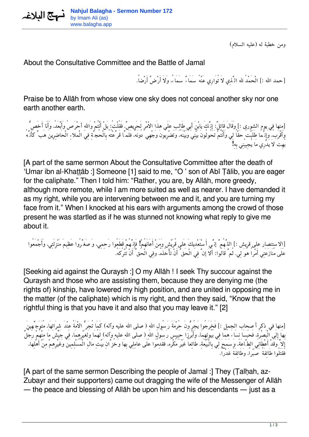

*ومن خطبة له (عليه السلام)*

About the Consultative Committee and the Battle of Jamal

*[حمد االله :] الْحَمْدُ الله الَّذِي لاَ تُوَارِي عَنْهُ سَمَاءٌ سَمَاء،ً وَلاَ أَرْضٌ أَرْضا.ً*

Praise be to Allāh from whose view one sky does not conceal another sky nor one earth another earth.

*[منها في يوم الشورى :] وَقَالَ قَائِل:ٌ إِنَّكَ يابْنَ أبِي طَالِب عَلَى هذَا الاْمْرِ لَحَرِيص.ٌ فَقُلْت:ُ بَلْ أَنْتُمْ وَااللهِ أحْرَصُ وَأَبْعَد،ُ وَأَنَا أَخَصُّ وَأَقْرَب،ُ وَإِنَّمَا طَلَبْتُ حَقّاً لِي وَأَنْتُمْ تَحُولُونَ بَيْنِي وَبَيْنَه،ُ وَتَضْرِبُونَ وَجْهِي دُونَه،ُ فَلَمَّا قَرَّعْتُهُ بِالْحُجَّةِ فِي الْملاءِ الْحَاضِرِينَ هَبَّ كَأَنَّهُ بُهِتَ لاَ يَدْرِي مَا يُجِيبُنِي بِهِ!*

[A part of the same sermon About the Consultative Committee after the death of 'Umar ibn al-Khaṭṭāb :] Someone [1] said to me, "O ' son of Abī Ṭālib, you are eager for the caliphate." Then I told him: "Rather, you are, by Allāh, more greedy, although more remote, while I am more suited as well as nearer. I have demanded it as my right, while you are intervening between me and it, and you are turning my face from it." When I knocked at his ears with arguments among the crowd of those present he was startled as if he was stunned not knowing what reply to give me about it.

*[الاستنصار على قريش :] اللَّهُمَّ إنَّي أَسْتَعْدِيكَ عَلى قُرَيْش وَمَنْ أَعَانَهُمْ! فَإِنَّهُمْ قَطَعُوا رَحِمِي، وَصَغَّرُوا عَظِيمَ مَنْزِلَتِي، وَأَجْمَعُوا عَلَى مُنَازَعَتِي أَمْراً هُوَ لِي. ثُمَّ قَالُوا: أَلاَ إنَّ فِي الْحَقِّ أَنْ تَأْخُذَه،ُ وَفِي الْحَقِّ أَنْ تَتْرُكَه.ُ*

[Seeking aid against the Quraysh :] O my Allāh ! I seek Thy succour against the Quraysh and those who are assisting them, because they are denying me (the rights of) kinship, have lowered my high position, and are united in opposing me in the matter (of the caliphate) which is my right, and then they said, "Know that the rightful thing is that you have it and also that you may leave it." [2]

*[منها في ذكر أصحاب الجمل :] فَخَرَجُوا يَجُرُّونَ حُرْمَةَ رَسُولِ االلهِ (صلى االله عليه وآله) كَمَا تُجَرُّ الاْمَةُ عِنْدَ شِرَائِهَا، مُتَوَجِّهِينَ بِهَا إِلَى الْبَصْرَة،ِ فَحَبَسَا نِسَاءَ هُمَا فِي بُيُوتِهِمَا، وَأَبْرَزَا حَبِيس رَسُولِ االلهِ (صلى االله عليه وآله) لَهُمَا وَلِغَيْرِهِمَا، فِي جَيْش مَا مِنْهُمْ رَجُلٌ إِلاَّ وَقَدْ أَعْطَانِي الطَّاعَة،َ وَسَمَحَ لِي بِالْبَيْعَة،ِ طَائِعاً غَيْرَ مُكْرَه، فَقَدِمُوا عَلَى عَامِلِي بِهَا وَخُزَّانِ بَيْتِ مَالِ الْمُسْلِمِينَ وَغَيْرِهِمْ مِنْ أَهْلِهَا، فَقَتَلُوا طَائِفَةً صَبْرا،ً وَطَائِفَةً غَدْرا.ً*

[A part of the same sermon Describing the people of Jamal :] They (Talhah, az-Zubayr and their supporters) came out dragging the wife of the Messenger of Allāh — the peace and blessing of Allāh be upon him and his descendants — just as a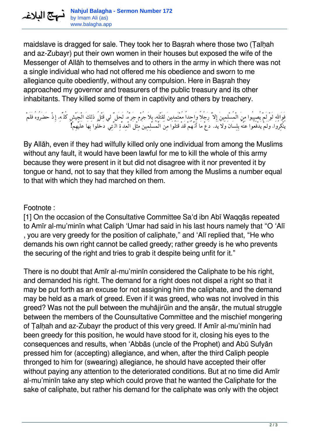maidslave is dragged for sale. They took her to Basrah where those two (Talhah and az-Zubayr) put their own women in their houses but exposed the wife of the Messenger of Allāh to themselves and to others in the army in which there was not a single individual who had not offered me his obedience and sworn to me allegiance quite obediently, without any compulsion. Here in Baṣrah they approached my governor and treasurers of the public treasury and its other inhabitants. They killed some of them in captivity and others by treachery.

*فَوَااللهِ لَوْ لَمْ يُصِيبُوا مِنَ الْمُسْلِمِينَ إِلاَّ رَجُلاً وَاحِداً مُعْتَمِدِينَ لِقَتْلِه،ِ بِلاَ جُرْم جَرَّه،ُ لَحَلَّ لي قَتْلُ ذلِكَ الْجَيْشِ كُلِّه،ِ إِذْ حَضَرُوهُ فَلَمْ يُنْكِرُوا، وَلَمْ يَدْفَعُوا عَنْهُ بِلِسَان وَلاَ يَد. دَعْ مَا أَنَّهُمْ قَدْ قَتَلُوا مِنَ الْمُسْلِمِينَ مِثْلَ الْعِدَّةِ الَّتِي دَخَلُوا بِهَا عَلَيْهِمْ!*

By Allāh, even if they had wilfully killed only one individual from among the Muslims without any fault, it would have been lawful for me to kill the whole of this army because they were present in it but did not disagree with it nor prevented it by tongue or hand, not to say that they killed from among the Muslims a number equal to that with which they had marched on them.

## Footnote :

متع الملاغه

[1] On the occasion of the Consultative Committee Sa'd ibn Abī Waqqās repeated to Amīr al-mu'minīn what Caliph 'Umar had said in his last hours namely that "O 'Alī , you are very greedy for the position of caliphate," and 'Alī replied that, "He who demands his own right cannot be called greedy; rather greedy is he who prevents the securing of the right and tries to grab it despite being unfit for it."

There is no doubt that Amīr al-mu'minīn considered the Caliphate to be his right, and demanded his right. The demand for a right does not dispel a right so that it may be put forth as an excuse for not assigning him the caliphate, and the demand may be held as a mark of greed. Even if it was greed, who was not involved in this greed? Was not the pull between the muhājirūin and the anṣār, the mutual struggle between the members of the Counsultative Committee and the mischief mongering of Ṭalḥah and az-Zubayr the product of this very greed. If Amīr al-mu'minīn had been greedy for this position, he would have stood for it, closing his eyes to the consequences and results, when 'Abbās (uncle of the Prophet) and Abū Sufyān pressed him for (accepting) allegiance, and when, after the third Caliph people thronged to him for (swearing) allegiance, he should have accepted their offer without paying any attention to the deteriorated conditions. But at no time did Amīr al-mu'minīn take any step which could prove that he wanted the Caliphate for the sake of caliphate, but rather his demand for the caliphate was only with the object